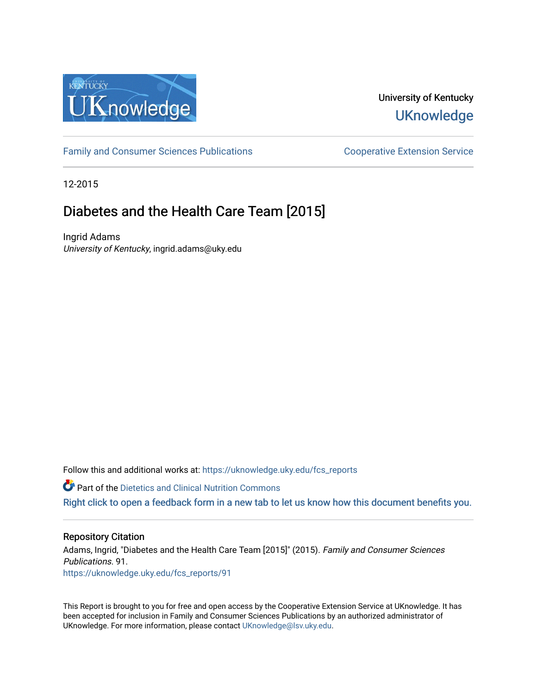

# University of Kentucky **UKnowledge**

[Family and Consumer Sciences Publications](https://uknowledge.uky.edu/fcs_reports) **Consumer Science Extension Service** Cooperative Extension Service

12-2015

# Diabetes and the Health Care Team [2015]

Ingrid Adams University of Kentucky, ingrid.adams@uky.edu

Follow this and additional works at: https://uknowledge.uky.edu/fcs\_reports

**Part of the Dietetics and Clinical Nutrition Commons** 

[Right click to open a feedback form in a new tab to let us know how this document benefits you.](https://uky.az1.qualtrics.com/jfe/form/SV_9mq8fx2GnONRfz7)

#### Repository Citation

Adams, Ingrid, "Diabetes and the Health Care Team [2015]" (2015). Family and Consumer Sciences Publications. 91. [https://uknowledge.uky.edu/fcs\\_reports/91](https://uknowledge.uky.edu/fcs_reports/91?utm_source=uknowledge.uky.edu%2Ffcs_reports%2F91&utm_medium=PDF&utm_campaign=PDFCoverPages)

This Report is brought to you for free and open access by the Cooperative Extension Service at UKnowledge. It has been accepted for inclusion in Family and Consumer Sciences Publications by an authorized administrator of UKnowledge. For more information, please contact [UKnowledge@lsv.uky.edu](mailto:UKnowledge@lsv.uky.edu).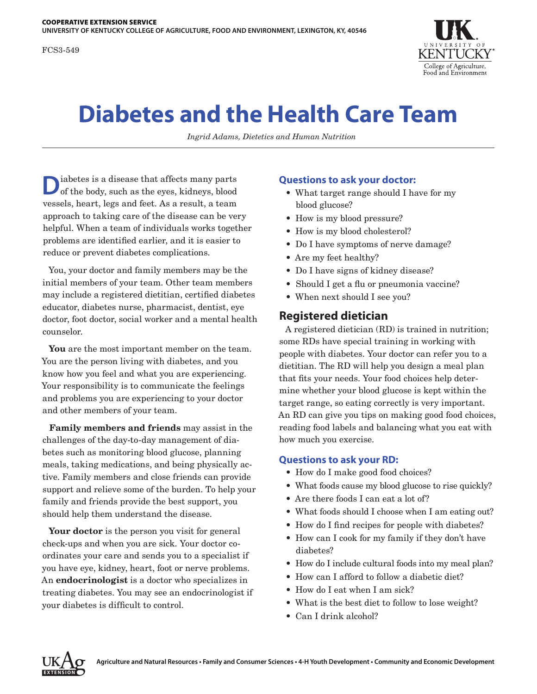FCS3-549



# **Diabetes and the Health Care Team**

*Ingrid Adams, Dietetics and Human Nutrition*

iabetes is a disease that affects many parts of the body, such as the eyes, kidneys, blood vessels, heart, legs and feet. As a result, a team approach to taking care of the disease can be very helpful. When a team of individuals works together problems are identified earlier, and it is easier to reduce or prevent diabetes complications.

You, your doctor and family members may be the initial members of your team. Other team members may include a registered dietitian, certified diabetes educator, diabetes nurse, pharmacist, dentist, eye doctor, foot doctor, social worker and a mental health counselor.

**You** are the most important member on the team. You are the person living with diabetes, and you know how you feel and what you are experiencing. Your responsibility is to communicate the feelings and problems you are experiencing to your doctor and other members of your team.

**Family members and friends** may assist in the challenges of the day-to-day management of diabetes such as monitoring blood glucose, planning meals, taking medications, and being physically active. Family members and close friends can provide support and relieve some of the burden. To help your family and friends provide the best support, you should help them understand the disease.

Your doctor is the person you visit for general check-ups and when you are sick. Your doctor coordinates your care and sends you to a specialist if you have eye, kidney, heart, foot or nerve problems. An **endocrinologist** is a doctor who specializes in treating diabetes. You may see an endocrinologist if your diabetes is difficult to control.

#### **Questions to ask your doctor:**

- What target range should I have for my blood glucose?
- How is my blood pressure?
- How is my blood cholesterol?
- Do I have symptoms of nerve damage?
- Are my feet healthy?
- Do I have signs of kidney disease?
- Should I get a flu or pneumonia vaccine?
- When next should I see you?

#### **Registered dietician**

A registered dietician (RD) is trained in nutrition; some RDs have special training in working with people with diabetes. Your doctor can refer you to a dietitian. The RD will help you design a meal plan that fits your needs. Your food choices help determine whether your blood glucose is kept within the target range, so eating correctly is very important. An RD can give you tips on making good food choices, reading food labels and balancing what you eat with how much you exercise.

#### **Questions to ask your RD:**

- How do I make good food choices?
- What foods cause my blood glucose to rise quickly?
- Are there foods I can eat a lot of?
- What foods should I choose when I am eating out?
- How do I find recipes for people with diabetes?
- How can I cook for my family if they don't have diabetes?
- How do I include cultural foods into my meal plan?
- How can I afford to follow a diabetic diet?
- How do I eat when I am sick?
- What is the best diet to follow to lose weight?
- Can I drink alcohol?

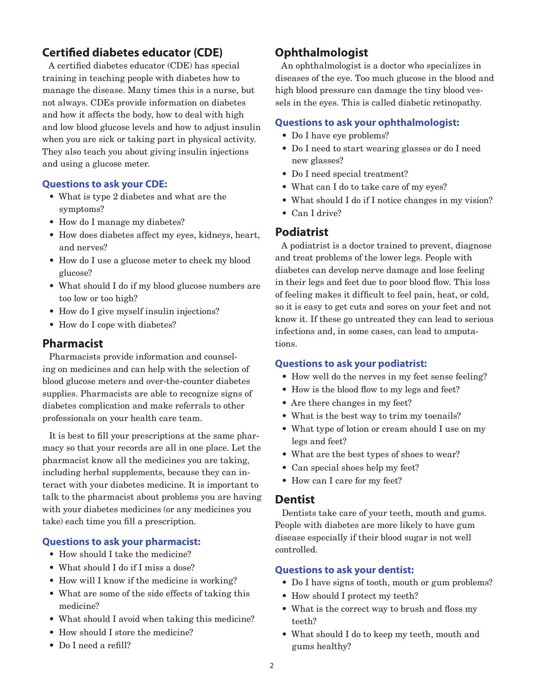# **Certified diabetes educator (CDE)**

A certified diabetes educator (CDE) has special training in teaching people with diabetes how to manage the disease. Many times this is a nurse, but not always. CDEs provide information on diabetes and how it affects the body, how to deal with high and low blood glucose levels and how to adjust insulin when you are sick or taking part in physical activity. They also teach you about giving insulin injections and using a glucose meter.

#### **Questions to ask your CDE:**

- What is type 2 diabetes and what are the symptoms?
- How do I manage my diabetes?
- How does diabetes affect my eyes, kidneys, heart, and nerves?
- How do I use a glucose meter to check my blood glucose?
- What should I do if my blood glucose numbers are too low or too high?
- How do I give myself insulin injections?
- How do I cope with diabetes?

# **Pharmacist**

Pharmacists provide information and counseling on medicines and can help with the selection of blood glucose meters and over-the-counter diabetes supplies. Pharmacists are able to recognize signs of diabetes complication and make referrals to other professionals on your health care team.

It is best to fill your prescriptions at the same pharmacy so that your records are all in one place. Let the pharmacist know all the medicines you are taking, including herbal supplements, because they can interact with your diabetes medicine. It is important to talk to the pharmacist about problems you are having with your diabetes medicines (or any medicines you take) each time you fill a prescription.

#### **Questions to ask your pharmacist:**

- How should I take the medicine?
- What should I do if I miss a dose?
- How will I know if the medicine is working?
- What are some of the side effects of taking this medicine?
- What should I avoid when taking this medicine?
- How should I store the medicine?
- Do I need a refill?

# **Ophthalmologist**

An ophthalmologist is a doctor who specializes in diseases of the eye. Too much glucose in the blood and high blood pressure can damage the tiny blood vessels in the eyes. This is called diabetic retinopathy.

#### **Questions to ask your ophthalmologist:**

- Do I have eye problems?
- Do I need to start wearing glasses or do I need new glasses?
- Do I need special treatment?
- What can I do to take care of my eyes?
- What should I do if I notice changes in my vision?
- Can I drive?

#### **Podiatrist**

A podiatrist is a doctor trained to prevent, diagnose and treat problems of the lower legs. People with diabetes can develop nerve damage and lose feeling in their legs and feet due to poor blood flow. This loss of feeling makes it difficult to feel pain, heat, or cold, so it is easy to get cuts and sores on your feet and not know it. If these go untreated they can lead to serious infections and, in some cases, can lead to amputations.

#### **Questions to ask your podiatrist:**

- How well do the nerves in my feet sense feeling?
- How is the blood flow to my legs and feet?
- Are there changes in my feet?
- What is the best way to trim my toenails?
- What type of lotion or cream should I use on my legs and feet?
- What are the best types of shoes to wear?
- Can special shoes help my feet?
- How can I care for my feet?

#### **Dentist**

Dentists take care of your teeth, mouth and gums. People with diabetes are more likely to have gum disease especially if their blood sugar is not well controlled.

#### **Questions to ask your dentist:**

- Do I have signs of tooth, mouth or gum problems?
- How should I protect my teeth?
- What is the correct way to brush and floss my teeth?
- What should I do to keep my teeth, mouth and gums healthy?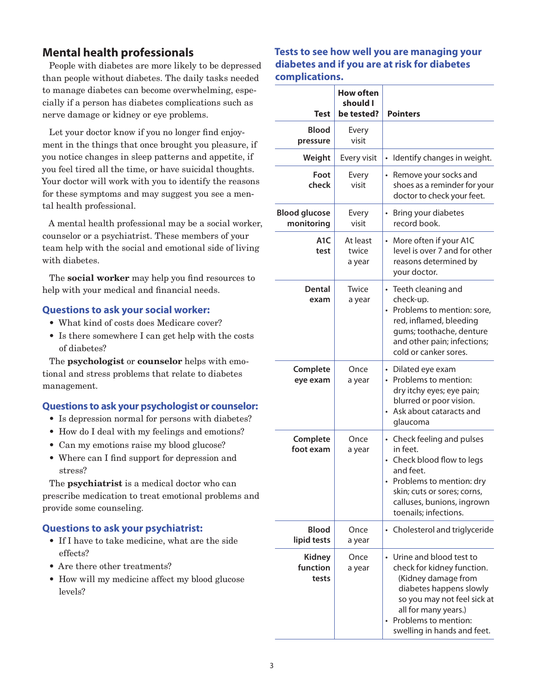# **Mental health professionals**

People with diabetes are more likely to be depressed than people without diabetes. The daily tasks needed to manage diabetes can become overwhelming, especially if a person has diabetes complications such as nerve damage or kidney or eye problems.

Let your doctor know if you no longer find enjoyment in the things that once brought you pleasure, if you notice changes in sleep patterns and appetite, if you feel tired all the time, or have suicidal thoughts. Your doctor will work with you to identify the reasons for these symptoms and may suggest you see a mental health professional.

A mental health professional may be a social worker, counselor or a psychiatrist. These members of your team help with the social and emotional side of living with diabetes.

The **social worker** may help you find resources to help with your medical and financial needs.

#### **Questions to ask your social worker:**

- What kind of costs does Medicare cover?
- Is there somewhere I can get help with the costs of diabetes?

The **psychologist** or **counselor** helps with emotional and stress problems that relate to diabetes management.

#### **Questions to ask your psychologist or counselor:**

- Is depression normal for persons with diabetes?
- How do I deal with my feelings and emotions?
- Can my emotions raise my blood glucose?
- Where can I find support for depression and stress?

The **psychiatrist** is a medical doctor who can prescribe medication to treat emotional problems and provide some counseling.

#### **Questions to ask your psychiatrist:**

- If I have to take medicine, what are the side effects?
- Are there other treatments?
- How will my medicine affect my blood glucose levels?

#### **Tests to see how well you are managing your diabetes and if you are at risk for diabetes complications.**

| Test                               | <b>How often</b><br>should I<br>be tested? | <b>Pointers</b>                                                                                                                                                                                                       |
|------------------------------------|--------------------------------------------|-----------------------------------------------------------------------------------------------------------------------------------------------------------------------------------------------------------------------|
| <b>Blood</b><br>pressure           | Every<br>visit                             |                                                                                                                                                                                                                       |
| Weight                             | Every visit                                | Identify changes in weight.<br>$\bullet$                                                                                                                                                                              |
| Foot<br>check                      | Every<br>visit                             | Remove your socks and<br>$\bullet$<br>shoes as a reminder for your<br>doctor to check your feet.                                                                                                                      |
| <b>Blood glucose</b><br>monitoring | Every<br>visit                             | Bring your diabetes<br>$\bullet$<br>record book.                                                                                                                                                                      |
| A <sub>1</sub> C<br>test           | At least<br>twice<br>a year                | • More often if your A1C<br>level is over 7 and for other<br>reasons determined by<br>your doctor.                                                                                                                    |
| Dental<br>exam                     | Twice<br>a year                            | • Teeth cleaning and<br>check-up.<br>Problems to mention: sore,<br>$\bullet$<br>red, inflamed, bleeding<br>gums; toothache, denture<br>and other pain; infections;<br>cold or canker sores.                           |
| Complete<br>eye exam               | Once<br>a year                             | • Dilated eye exam<br>• Problems to mention:<br>dry itchy eyes; eye pain;<br>blurred or poor vision.<br>Ask about cataracts and<br>$\bullet$<br>glaucoma                                                              |
| Complete<br>foot exam              | Once<br>a year                             | • Check feeling and pulses<br>in feet.<br>Check blood flow to legs<br>and feet.<br>• Problems to mention: dry<br>skin; cuts or sores; corns,<br>calluses, bunions, ingrown<br>toenails; infections.                   |
| <b>Blood</b><br>lipid tests        | Once<br>a year                             | Cholesterol and triglyceride                                                                                                                                                                                          |
| <b>Kidney</b><br>function<br>tests | Once<br>a year                             | Urine and blood test to<br>check for kidney function.<br>(Kidney damage from<br>diabetes happens slowly<br>so you may not feel sick at<br>all for many years.)<br>Problems to mention:<br>swelling in hands and feet. |